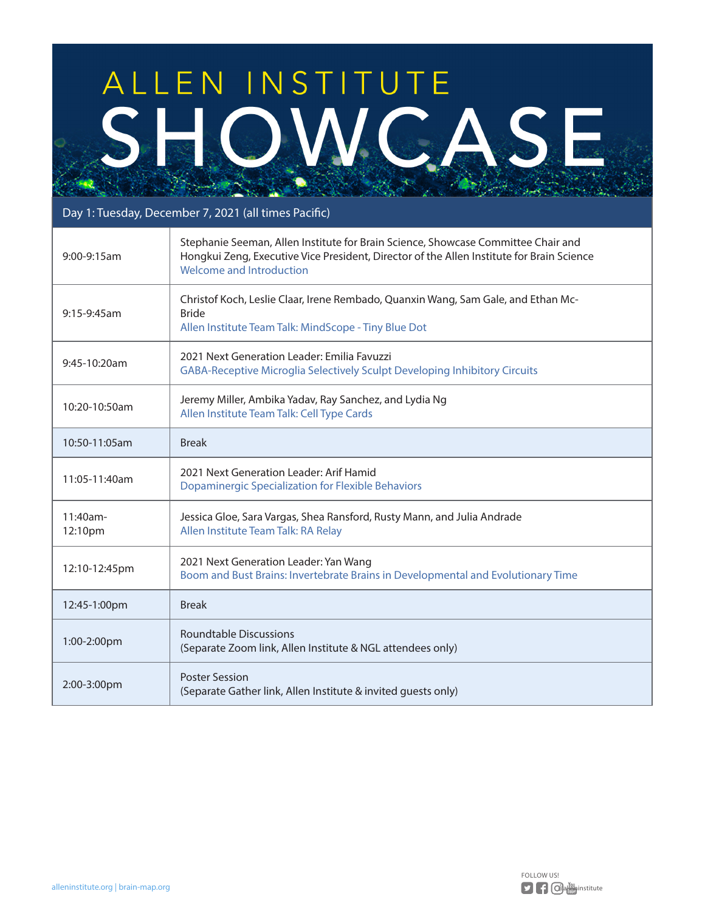## ALLEN INSTITUTE OWCASE

## Day 1: Tuesday, December 7, 2021 (all times Pacific)

| $9:00-9:15am$       | Stephanie Seeman, Allen Institute for Brain Science, Showcase Committee Chair and<br>Hongkui Zeng, Executive Vice President, Director of the Allen Institute for Brain Science<br>Welcome and Introduction |
|---------------------|------------------------------------------------------------------------------------------------------------------------------------------------------------------------------------------------------------|
| $9:15-9:45am$       | Christof Koch, Leslie Claar, Irene Rembado, Quanxin Wang, Sam Gale, and Ethan Mc-<br><b>Bride</b><br>Allen Institute Team Talk: MindScope - Tiny Blue Dot                                                  |
| 9:45-10:20am        | 2021 Next Generation Leader: Emilia Favuzzi<br>GABA-Receptive Microglia Selectively Sculpt Developing Inhibitory Circuits                                                                                  |
| 10:20-10:50am       | Jeremy Miller, Ambika Yadav, Ray Sanchez, and Lydia Ng<br>Allen Institute Team Talk: Cell Type Cards                                                                                                       |
| 10:50-11:05am       | <b>Break</b>                                                                                                                                                                                               |
| 11:05-11:40am       | 2021 Next Generation Leader: Arif Hamid<br><b>Dopaminergic Specialization for Flexible Behaviors</b>                                                                                                       |
| 11:40am-<br>12:10pm | Jessica Gloe, Sara Vargas, Shea Ransford, Rusty Mann, and Julia Andrade<br>Allen Institute Team Talk: RA Relay                                                                                             |
| 12:10-12:45pm       | 2021 Next Generation Leader: Yan Wang<br>Boom and Bust Brains: Invertebrate Brains in Developmental and Evolutionary Time                                                                                  |
| 12:45-1:00pm        | <b>Break</b>                                                                                                                                                                                               |
| 1:00-2:00pm         | <b>Roundtable Discussions</b><br>(Separate Zoom link, Allen Institute & NGL attendees only)                                                                                                                |
| 2:00-3:00pm         | <b>Poster Session</b><br>(Separate Gather link, Allen Institute & invited guests only)                                                                                                                     |